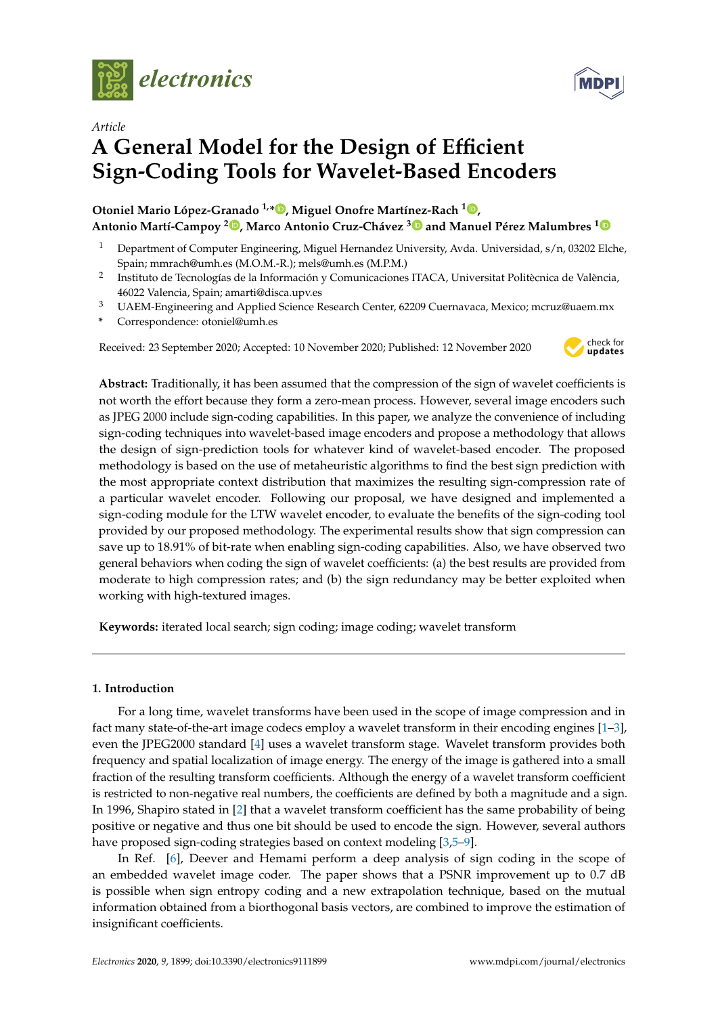

*Article*

# **A General Model for the Design of Efficient Sign-Coding Tools for Wavelet-Based Encoders**

**Otoniel Mario López-Granado 1,[\\*](https://orcid.org/0000-0002-6968-061X) , Miguel Onofre Martínez-Rach <sup>1</sup> [,](https://orcid.org/0000-0001-7071-8921) Antonio Martí-Campoy <sup>2</sup> [,](https://orcid.org/0000-0002-6009-8703) Marco Antonio Cruz-Chávez [3](https://orcid.org/0000-0001-9967-3886) and Manuel Pérez Malumbres [1](https://orcid.org/0000-0001-6493-5057)**

- <sup>1</sup> Department of Computer Engineering, Miguel Hernandez University, Avda. Universidad,  $s/n$ , 03202 Elche, Spain; mmrach@umh.es (M.O.M.-R.); mels@umh.es (M.P.M.)
- 2 Instituto de Tecnologías de la Información y Comunicaciones ITACA, Universitat Politècnica de València, 46022 Valencia, Spain; amarti@disca.upv.es
- <sup>3</sup> UAEM-Engineering and Applied Science Research Center, 62209 Cuernavaca, Mexico; mcruz@uaem.mx
- **\*** Correspondence: otoniel@umh.es

Received: 23 September 2020; Accepted: 10 November 2020; Published: 12 November 2020



**Abstract:** Traditionally, it has been assumed that the compression of the sign of wavelet coefficients is not worth the effort because they form a zero-mean process. However, several image encoders such as JPEG 2000 include sign-coding capabilities. In this paper, we analyze the convenience of including sign-coding techniques into wavelet-based image encoders and propose a methodology that allows the design of sign-prediction tools for whatever kind of wavelet-based encoder. The proposed methodology is based on the use of metaheuristic algorithms to find the best sign prediction with the most appropriate context distribution that maximizes the resulting sign-compression rate of a particular wavelet encoder. Following our proposal, we have designed and implemented a sign-coding module for the LTW wavelet encoder, to evaluate the benefits of the sign-coding tool provided by our proposed methodology. The experimental results show that sign compression can save up to 18.91% of bit-rate when enabling sign-coding capabilities. Also, we have observed two general behaviors when coding the sign of wavelet coefficients: (a) the best results are provided from moderate to high compression rates; and (b) the sign redundancy may be better exploited when working with high-textured images.

**Keywords:** iterated local search; sign coding; image coding; wavelet transform

## **1. Introduction**

For a long time, wavelet transforms have been used in the scope of image compression and in fact many state-of-the-art image codecs employ a wavelet transform in their encoding engines [\[1](#page-15-0)[–3\]](#page-15-1), even the JPEG2000 standard [\[4\]](#page-15-2) uses a wavelet transform stage. Wavelet transform provides both frequency and spatial localization of image energy. The energy of the image is gathered into a small fraction of the resulting transform coefficients. Although the energy of a wavelet transform coefficient is restricted to non-negative real numbers, the coefficients are defined by both a magnitude and a sign. In 1996, Shapiro stated in [\[2\]](#page-15-3) that a wavelet transform coefficient has the same probability of being positive or negative and thus one bit should be used to encode the sign. However, several authors have proposed sign-coding strategies based on context modeling [\[3,](#page-15-1)[5](#page-15-4)[–9\]](#page-15-5).

In Ref. [\[6\]](#page-15-6), Deever and Hemami perform a deep analysis of sign coding in the scope of an embedded wavelet image coder. The paper shows that a PSNR improvement up to 0.7 dB is possible when sign entropy coding and a new extrapolation technique, based on the mutual information obtained from a biorthogonal basis vectors, are combined to improve the estimation of insignificant coefficients.

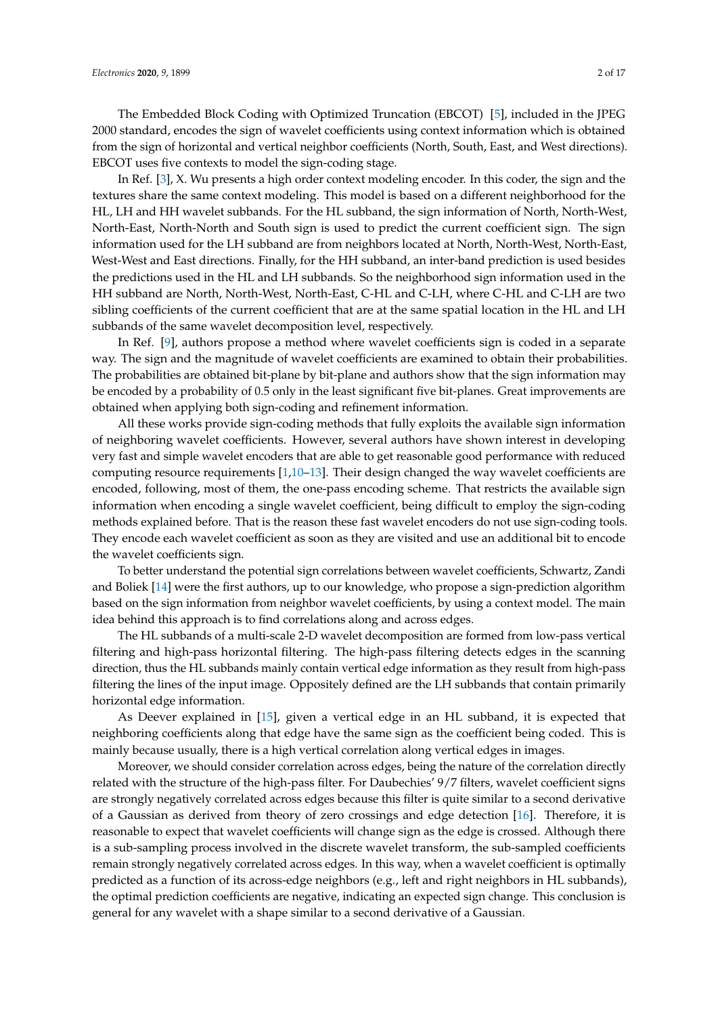The Embedded Block Coding with Optimized Truncation (EBCOT) [\[5\]](#page-15-4), included in the JPEG 2000 standard, encodes the sign of wavelet coefficients using context information which is obtained from the sign of horizontal and vertical neighbor coefficients (North, South, East, and West directions). EBCOT uses five contexts to model the sign-coding stage.

In Ref. [\[3\]](#page-15-1), X. Wu presents a high order context modeling encoder. In this coder, the sign and the textures share the same context modeling. This model is based on a different neighborhood for the HL, LH and HH wavelet subbands. For the HL subband, the sign information of North, North-West, North-East, North-North and South sign is used to predict the current coefficient sign. The sign information used for the LH subband are from neighbors located at North, North-West, North-East, West-West and East directions. Finally, for the HH subband, an inter-band prediction is used besides the predictions used in the HL and LH subbands. So the neighborhood sign information used in the HH subband are North, North-West, North-East, C-HL and C-LH, where C-HL and C-LH are two sibling coefficients of the current coefficient that are at the same spatial location in the HL and LH subbands of the same wavelet decomposition level, respectively.

In Ref. [\[9\]](#page-15-5), authors propose a method where wavelet coefficients sign is coded in a separate way. The sign and the magnitude of wavelet coefficients are examined to obtain their probabilities. The probabilities are obtained bit-plane by bit-plane and authors show that the sign information may be encoded by a probability of 0.5 only in the least significant five bit-planes. Great improvements are obtained when applying both sign-coding and refinement information.

All these works provide sign-coding methods that fully exploits the available sign information of neighboring wavelet coefficients. However, several authors have shown interest in developing very fast and simple wavelet encoders that are able to get reasonable good performance with reduced computing resource requirements [\[1,](#page-15-0)[10–](#page-15-7)[13\]](#page-16-0). Their design changed the way wavelet coefficients are encoded, following, most of them, the one-pass encoding scheme. That restricts the available sign information when encoding a single wavelet coefficient, being difficult to employ the sign-coding methods explained before. That is the reason these fast wavelet encoders do not use sign-coding tools. They encode each wavelet coefficient as soon as they are visited and use an additional bit to encode the wavelet coefficients sign.

To better understand the potential sign correlations between wavelet coefficients, Schwartz, Zandi and Boliek [\[14\]](#page-16-1) were the first authors, up to our knowledge, who propose a sign-prediction algorithm based on the sign information from neighbor wavelet coefficients, by using a context model. The main idea behind this approach is to find correlations along and across edges.

The HL subbands of a multi-scale 2-D wavelet decomposition are formed from low-pass vertical filtering and high-pass horizontal filtering. The high-pass filtering detects edges in the scanning direction, thus the HL subbands mainly contain vertical edge information as they result from high-pass filtering the lines of the input image. Oppositely defined are the LH subbands that contain primarily horizontal edge information.

As Deever explained in [\[15\]](#page-16-2), given a vertical edge in an HL subband, it is expected that neighboring coefficients along that edge have the same sign as the coefficient being coded. This is mainly because usually, there is a high vertical correlation along vertical edges in images.

Moreover, we should consider correlation across edges, being the nature of the correlation directly related with the structure of the high-pass filter. For Daubechies' 9/7 filters, wavelet coefficient signs are strongly negatively correlated across edges because this filter is quite similar to a second derivative of a Gaussian as derived from theory of zero crossings and edge detection [\[16\]](#page-16-3). Therefore, it is reasonable to expect that wavelet coefficients will change sign as the edge is crossed. Although there is a sub-sampling process involved in the discrete wavelet transform, the sub-sampled coefficients remain strongly negatively correlated across edges. In this way, when a wavelet coefficient is optimally predicted as a function of its across-edge neighbors (e.g., left and right neighbors in HL subbands), the optimal prediction coefficients are negative, indicating an expected sign change. This conclusion is general for any wavelet with a shape similar to a second derivative of a Gaussian.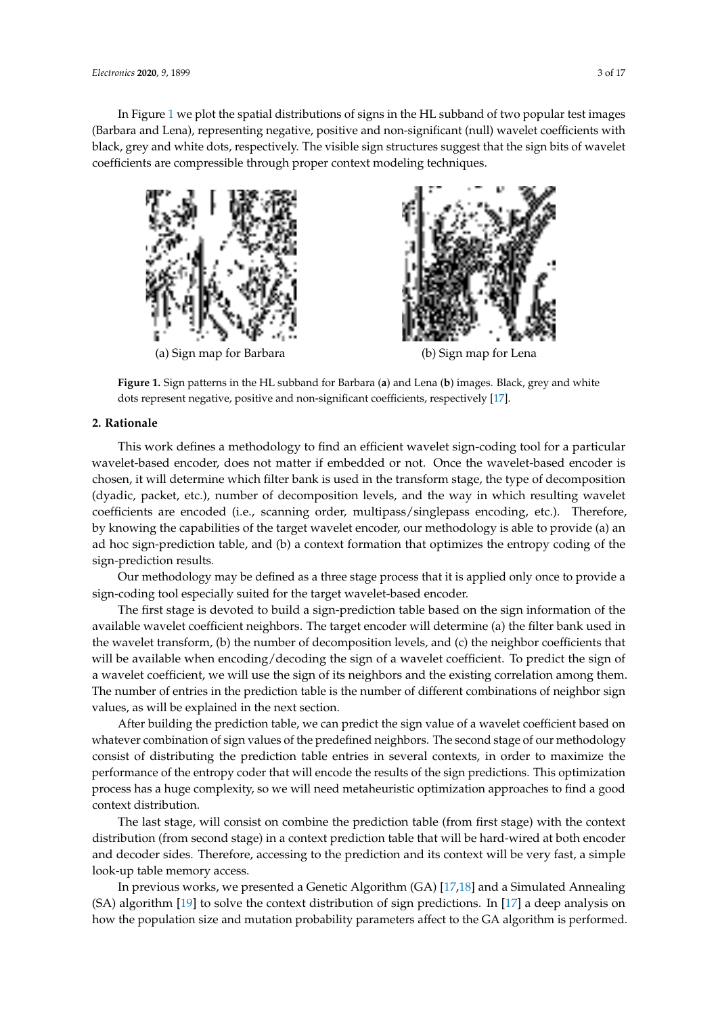In Figure [1](#page-2-0) we plot the spatial distributions of signs in the HL subband of two popular test images (Barbara and Lena), representing negative, positive and non-significant (null) wavelet coefficients with black, grey and white dots, respectively. The visible sign structures suggest that the sign bits of wavelet coefficients are compressible through proper context modeling techniques.

<span id="page-2-0"></span>

**Figure 1.** Sign patterns in the HL subband for Barbara (**a**) and Lena (**b**) images. Black, grey and white dots represent negative, positive and non-significant coefficients, respectively [\[17\]](#page-16-4).

#### **2. Rationale**

This work defines a methodology to find an efficient wavelet sign-coding tool for a particular wavelet-based encoder, does not matter if embedded or not. Once the wavelet-based encoder is chosen, it will determine which filter bank is used in the transform stage, the type of decomposition (dyadic, packet, etc.), number of decomposition levels, and the way in which resulting wavelet coefficients are encoded (i.e., scanning order, multipass/singlepass encoding, etc.). Therefore, by knowing the capabilities of the target wavelet encoder, our methodology is able to provide (a) an ad hoc sign-prediction table, and (b) a context formation that optimizes the entropy coding of the sign-prediction results.

Our methodology may be defined as a three stage process that it is applied only once to provide a sign-coding tool especially suited for the target wavelet-based encoder.

The first stage is devoted to build a sign-prediction table based on the sign information of the available wavelet coefficient neighbors. The target encoder will determine (a) the filter bank used in the wavelet transform, (b) the number of decomposition levels, and (c) the neighbor coefficients that will be available when encoding/decoding the sign of a wavelet coefficient. To predict the sign of a wavelet coefficient, we will use the sign of its neighbors and the existing correlation among them. The number of entries in the prediction table is the number of different combinations of neighbor sign values, as will be explained in the next section.

After building the prediction table, we can predict the sign value of a wavelet coefficient based on whatever combination of sign values of the predefined neighbors. The second stage of our methodology consist of distributing the prediction table entries in several contexts, in order to maximize the performance of the entropy coder that will encode the results of the sign predictions. This optimization process has a huge complexity, so we will need metaheuristic optimization approaches to find a good context distribution.

The last stage, will consist on combine the prediction table (from first stage) with the context distribution (from second stage) in a context prediction table that will be hard-wired at both encoder and decoder sides. Therefore, accessing to the prediction and its context will be very fast, a simple look-up table memory access.

In previous works, we presented a Genetic Algorithm (GA) [\[17](#page-16-4)[,18\]](#page-16-5) and a Simulated Annealing (SA) algorithm [\[19\]](#page-16-6) to solve the context distribution of sign predictions. In [\[17\]](#page-16-4) a deep analysis on how the population size and mutation probability parameters affect to the GA algorithm is performed.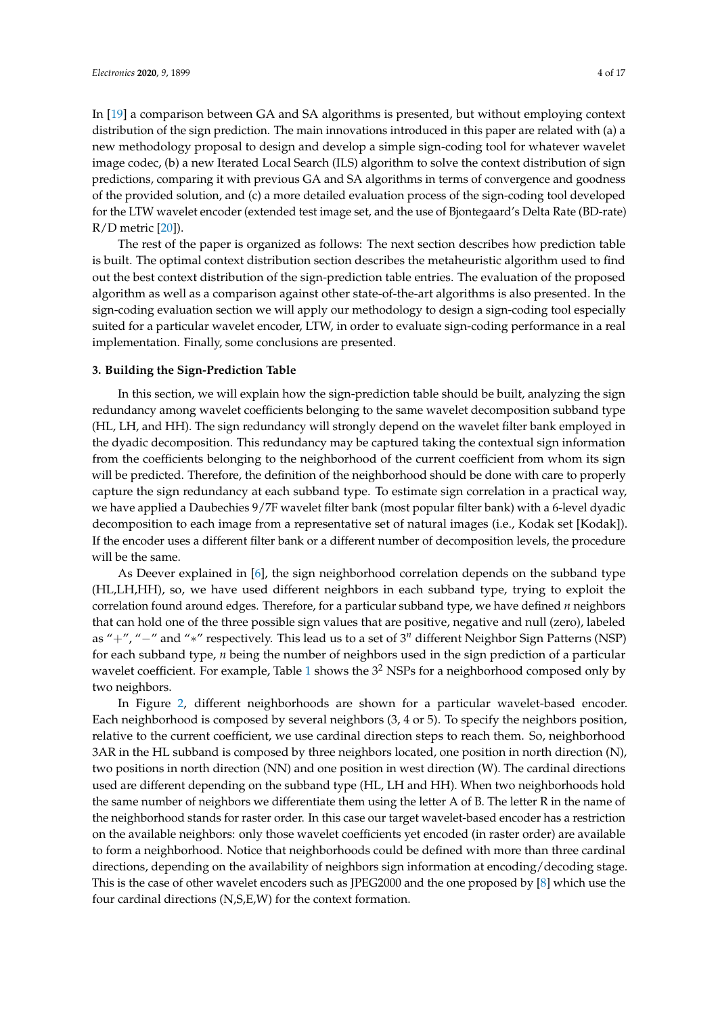In [\[19\]](#page-16-6) a comparison between GA and SA algorithms is presented, but without employing context distribution of the sign prediction. The main innovations introduced in this paper are related with (a) a new methodology proposal to design and develop a simple sign-coding tool for whatever wavelet image codec, (b) a new Iterated Local Search (ILS) algorithm to solve the context distribution of sign predictions, comparing it with previous GA and SA algorithms in terms of convergence and goodness of the provided solution, and (c) a more detailed evaluation process of the sign-coding tool developed for the LTW wavelet encoder (extended test image set, and the use of Bjontegaard's Delta Rate (BD-rate) R/D metric [\[20\]](#page-16-7)).

The rest of the paper is organized as follows: The next section describes how prediction table is built. The optimal context distribution section describes the metaheuristic algorithm used to find out the best context distribution of the sign-prediction table entries. The evaluation of the proposed algorithm as well as a comparison against other state-of-the-art algorithms is also presented. In the sign-coding evaluation section we will apply our methodology to design a sign-coding tool especially suited for a particular wavelet encoder, LTW, in order to evaluate sign-coding performance in a real implementation. Finally, some conclusions are presented.

#### <span id="page-3-0"></span>**3. Building the Sign-Prediction Table**

In this section, we will explain how the sign-prediction table should be built, analyzing the sign redundancy among wavelet coefficients belonging to the same wavelet decomposition subband type (HL, LH, and HH). The sign redundancy will strongly depend on the wavelet filter bank employed in the dyadic decomposition. This redundancy may be captured taking the contextual sign information from the coefficients belonging to the neighborhood of the current coefficient from whom its sign will be predicted. Therefore, the definition of the neighborhood should be done with care to properly capture the sign redundancy at each subband type. To estimate sign correlation in a practical way, we have applied a Daubechies 9/7F wavelet filter bank (most popular filter bank) with a 6-level dyadic decomposition to each image from a representative set of natural images (i.e., Kodak set [Kodak]). If the encoder uses a different filter bank or a different number of decomposition levels, the procedure will be the same.

As Deever explained in [\[6\]](#page-15-6), the sign neighborhood correlation depends on the subband type (HL,LH,HH), so, we have used different neighbors in each subband type, trying to exploit the correlation found around edges. Therefore, for a particular subband type, we have defined *n* neighbors that can hold one of the three possible sign values that are positive, negative and null (zero), labeled as "+", "-" and "\*" respectively. This lead us to a set of 3<sup>n</sup> different Neighbor Sign Patterns (NSP) for each subband type, *n* being the number of neighbors used in the sign prediction of a particular wavelet coefficient. For example, Table [1](#page-5-0) shows the  $3<sup>2</sup>$  NSPs for a neighborhood composed only by two neighbors.

In Figure [2,](#page-4-0) different neighborhoods are shown for a particular wavelet-based encoder. Each neighborhood is composed by several neighbors (3, 4 or 5). To specify the neighbors position, relative to the current coefficient, we use cardinal direction steps to reach them. So, neighborhood 3AR in the HL subband is composed by three neighbors located, one position in north direction (N), two positions in north direction (NN) and one position in west direction (W). The cardinal directions used are different depending on the subband type (HL, LH and HH). When two neighborhoods hold the same number of neighbors we differentiate them using the letter A of B. The letter R in the name of the neighborhood stands for raster order. In this case our target wavelet-based encoder has a restriction on the available neighbors: only those wavelet coefficients yet encoded (in raster order) are available to form a neighborhood. Notice that neighborhoods could be defined with more than three cardinal directions, depending on the availability of neighbors sign information at encoding/decoding stage. This is the case of other wavelet encoders such as JPEG2000 and the one proposed by [\[8\]](#page-15-8) which use the four cardinal directions (N,S,E,W) for the context formation.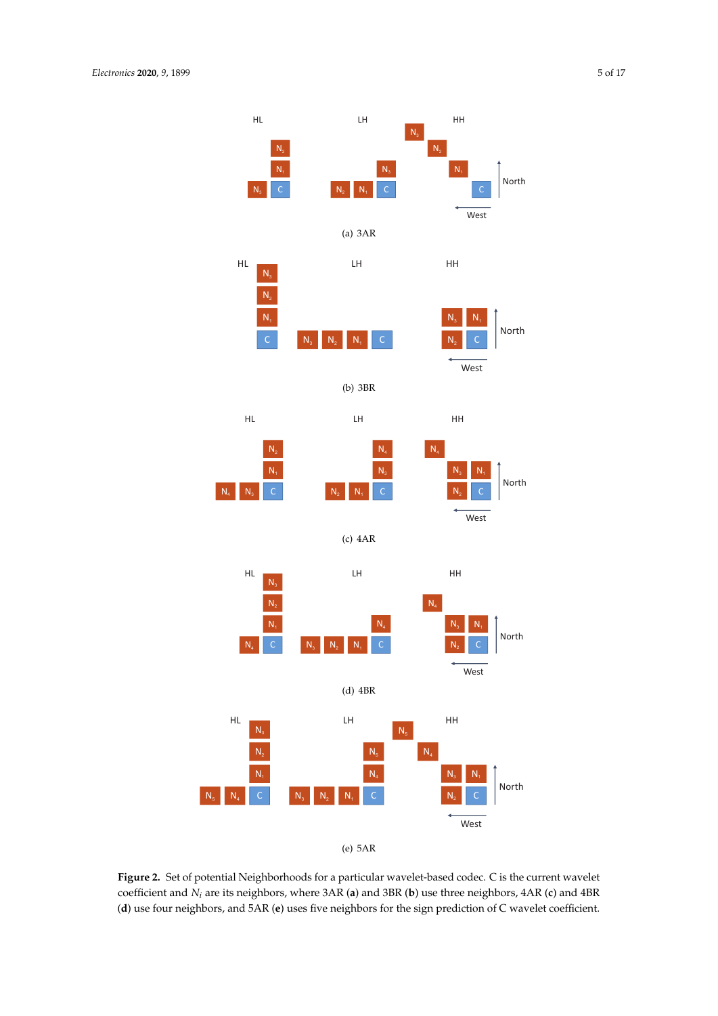<span id="page-4-0"></span>



**Figure 2.** Set of potential Neighborhoods for a particular wavelet-based codec. C is the current wavelet coefficient and *N<sup>i</sup>* are its neighbors, where 3AR (**a**) and 3BR (**b**) use three neighbors, 4AR (**c**) and 4BR (**d**) use four neighbors, and 5AR (**e**) uses five neighbors for the sign prediction of C wavelet coefficient.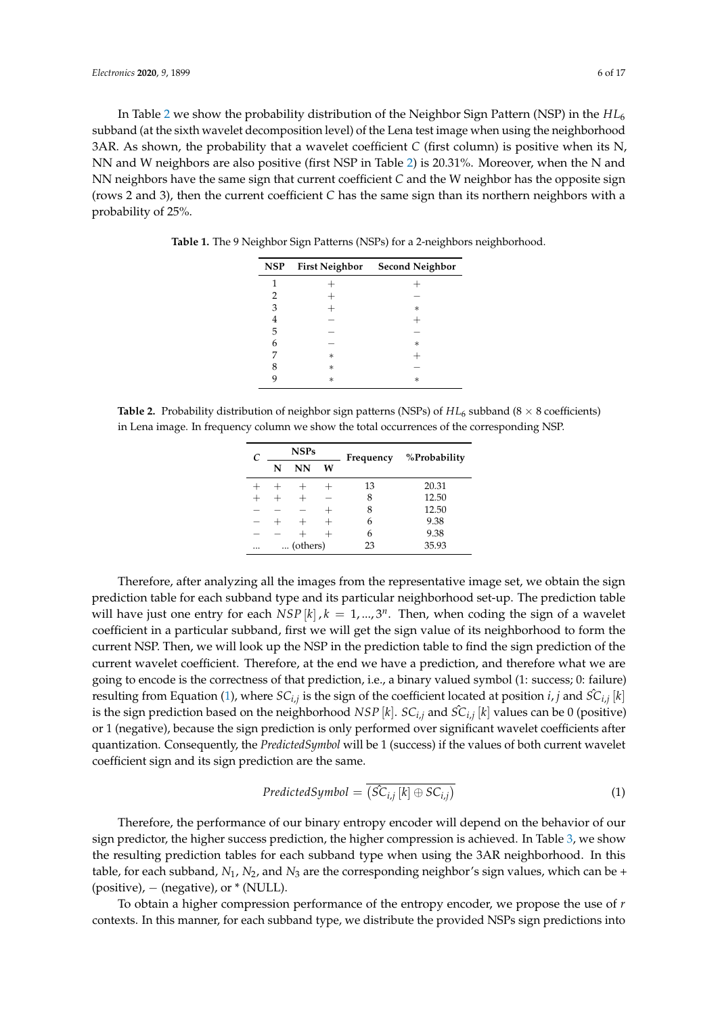In Table [2](#page-5-1) we show the probability distribution of the Neighbor Sign Pattern (NSP) in the *HL*<sup>6</sup> subband (at the sixth wavelet decomposition level) of the Lena test image when using the neighborhood 3AR. As shown, the probability that a wavelet coefficient *C* (first column) is positive when its N, NN and W neighbors are also positive (first NSP in Table [2\)](#page-5-1) is 20.31%. Moreover, when the N and NN neighbors have the same sign that current coefficient *C* and the W neighbor has the opposite sign (rows 2 and 3), then the current coefficient *C* has the same sign than its northern neighbors with a probability of 25%.

<span id="page-5-0"></span>**Table 1.** The 9 Neighbor Sign Patterns (NSPs) for a 2-neighbors neighborhood.

| <b>NSP</b>     |        | First Neighbor Second Neighbor |
|----------------|--------|--------------------------------|
| 1              |        |                                |
| $\overline{2}$ |        |                                |
| 3              |        | $\ast$                         |
| $\overline{4}$ |        |                                |
| 5              |        |                                |
| 6              |        | $\ast$                         |
| 7              | $\ast$ |                                |
| 8              | $\ast$ |                                |
| 9              | $\ast$ | $\ast$                         |
|                |        |                                |

<span id="page-5-1"></span>**Table 2.** Probability distribution of neighbor sign patterns (NSPs) of  $HL_6$  subband (8  $\times$  8 coefficients) in Lena image. In frequency column we show the total occurrences of the corresponding NSP.

| C | <b>NSPs</b> |          |   | Frequency | %Probability |  |
|---|-------------|----------|---|-----------|--------------|--|
|   | N           | NN       | W |           |              |  |
|   |             |          |   | 13        | 20.31        |  |
|   |             |          |   |           | 12.50        |  |
|   |             |          |   |           | 12.50        |  |
|   |             |          |   | 6         | 9.38         |  |
|   |             |          |   | 6         | 9.38         |  |
|   |             | (others) |   | 23        | 35.93        |  |

Therefore, after analyzing all the images from the representative image set, we obtain the sign prediction table for each subband type and its particular neighborhood set-up. The prediction table will have just one entry for each  $NSP[k]$ ,  $k = 1, ..., 3<sup>n</sup>$ . Then, when coding the sign of a wavelet coefficient in a particular subband, first we will get the sign value of its neighborhood to form the current NSP. Then, we will look up the NSP in the prediction table to find the sign prediction of the current wavelet coefficient. Therefore, at the end we have a prediction, and therefore what we are going to encode is the correctness of that prediction, i.e., a binary valued symbol (1: success; 0: failure) resulting from Equation [\(1\)](#page-5-2), where  $SC_{i,j}$  is the sign of the coefficient located at position *i*, *j* and  $\hat{SC}_{i,j}$  [k] is the sign prediction based on the neighborhood  $NSP [k]$ .  $SC_{i,j}$  and  $\hat{SC}_{i,j} [k]$  values can be 0 (positive) or 1 (negative), because the sign prediction is only performed over significant wavelet coefficients after quantization. Consequently, the *PredictedSymbol* will be 1 (success) if the values of both current wavelet coefficient sign and its sign prediction are the same.

<span id="page-5-2"></span>
$$
Predicted Symbol = \overline{\left(\hat{SC}_{i,j}\left[k\right] \oplus SC_{i,j}\right)}
$$
\n(1)

Therefore, the performance of our binary entropy encoder will depend on the behavior of our sign predictor, the higher success prediction, the higher compression is achieved. In Table [3,](#page-6-0) we show the resulting prediction tables for each subband type when using the 3AR neighborhood. In this table, for each subband,  $N_1$ ,  $N_2$ , and  $N_3$  are the corresponding neighbor's sign values, which can be + (positive), − (negative), or \* (NULL).

To obtain a higher compression performance of the entropy encoder, we propose the use of *r* contexts. In this manner, for each subband type, we distribute the provided NSPs sign predictions into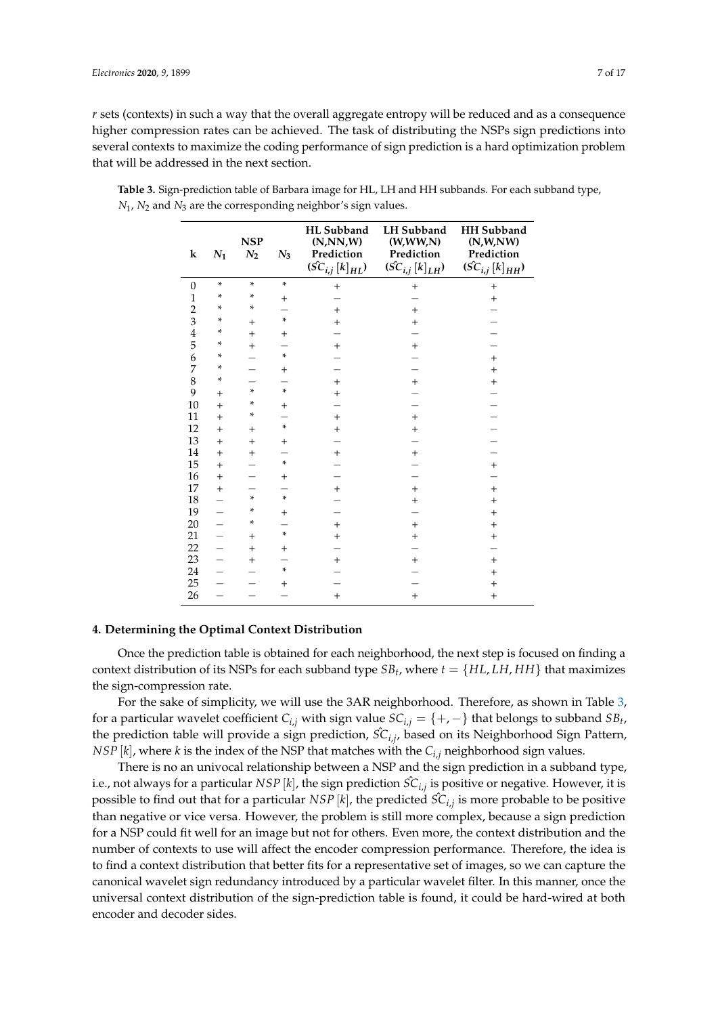*r* sets (contexts) in such a way that the overall aggregate entropy will be reduced and as a consequence higher compression rates can be achieved. The task of distributing the NSPs sign predictions into several contexts to maximize the coding performance of sign prediction is a hard optimization problem that will be addressed in the next section.

| ${\bf k}$      | $N_1$     | <b>NSP</b><br>$N_2$ | $N_3$  | HL Subband<br>(N,NN,W)<br>Prediction<br>$(\hat{SC}_{i,j}\left[k\right]_{HL})$ | <b>LH Subband</b><br>(W, WW, N)<br>Prediction<br>$(\hat{SC}_{i,j}\left[k\right]_{LH})$ | <b>HH Subband</b><br>(N,W,NW)<br>Prediction<br>$(\hat{SC}_{i,j}\left[k\right]_{HH})$ |
|----------------|-----------|---------------------|--------|-------------------------------------------------------------------------------|----------------------------------------------------------------------------------------|--------------------------------------------------------------------------------------|
| $\mathbf{0}$   | *         | *                   | *      | $^{+}$                                                                        | $^{+}$                                                                                 | $^{+}$                                                                               |
| $\mathbf{1}$   | *         | *                   | $^{+}$ |                                                                               |                                                                                        | $^{+}$                                                                               |
| $\overline{c}$ | *         | *                   |        | $^{+}$                                                                        | $^{+}$                                                                                 |                                                                                      |
| 3              | *         | $^{+}$              | *      | $\ddot{}$                                                                     | $\ddot{}$                                                                              |                                                                                      |
| $\overline{4}$ | *         | $^{+}$              | $^{+}$ |                                                                               |                                                                                        |                                                                                      |
| 5              | *         | $^{+}$              |        | $^{+}$                                                                        | $^{+}$                                                                                 |                                                                                      |
| 6              | *         |                     | $\ast$ |                                                                               |                                                                                        | $^{+}$                                                                               |
| 7              | *         |                     | $^{+}$ |                                                                               |                                                                                        | $^{+}$                                                                               |
| 8              | *         |                     |        | $^{+}$                                                                        | $^{+}$                                                                                 | $^{+}$                                                                               |
| 9              | $^{+}$    | *                   | *      | $+$                                                                           |                                                                                        |                                                                                      |
| 10             | $^{+}$    | *                   | $+$    |                                                                               |                                                                                        |                                                                                      |
| 11             | $^{+}$    | *                   |        | $^{+}$                                                                        | $^{+}$                                                                                 |                                                                                      |
| 12             | $^{+}$    | $^{+}$              | *      | $^{+}$                                                                        | $\ddot{}$                                                                              |                                                                                      |
| 13             | $^{+}$    | $^{+}$              | $^{+}$ |                                                                               |                                                                                        |                                                                                      |
| 14             | $^{+}$    | $^{+}$              |        | $^{+}$                                                                        | $^{+}$                                                                                 |                                                                                      |
| 15             | $^{+}$    |                     | *      |                                                                               |                                                                                        | $^{+}$                                                                               |
| 16             | $^{+}$    |                     | $^{+}$ |                                                                               |                                                                                        |                                                                                      |
| 17             | $\ddot{}$ |                     |        | $^{+}$                                                                        | $\ddot{}$                                                                              | $^{+}$                                                                               |
| 18             |           | *                   | *      |                                                                               | $^{+}$                                                                                 | $^{+}$                                                                               |
| 19             |           | *                   | $+$    |                                                                               |                                                                                        | $^{+}$                                                                               |
| 20             |           | *                   |        | $^{+}$                                                                        | $^{+}$                                                                                 | $^{+}$                                                                               |
| 21             |           | $^{+}$              | *      | $^{+}$                                                                        | $^{+}$                                                                                 | $\overline{+}$                                                                       |
| 22             |           | $^{+}$              | $^{+}$ |                                                                               |                                                                                        |                                                                                      |
| 23             |           | $^{+}$              |        | $^{+}$                                                                        | $^{+}$                                                                                 | $^{+}$                                                                               |
| 24             |           |                     | *      |                                                                               |                                                                                        | $^{+}$                                                                               |
| 25             |           |                     | $^{+}$ |                                                                               |                                                                                        | $^{+}$                                                                               |
| 26             |           |                     |        | $^{+}$                                                                        | $^{+}$                                                                                 | $^{+}$                                                                               |

<span id="page-6-0"></span>**Table 3.** Sign-prediction table of Barbara image for HL, LH and HH subbands. For each subband type, *N*1 , *N*<sup>2</sup> and *N*<sup>3</sup> are the corresponding neighbor's sign values.

#### <span id="page-6-1"></span>**4. Determining the Optimal Context Distribution**

Once the prediction table is obtained for each neighborhood, the next step is focused on finding a context distribution of its NSPs for each subband type  $SB_t$ , where  $t = \{HL, LH, HH\}$  that maximizes the sign-compression rate.

For the sake of simplicity, we will use the 3AR neighborhood. Therefore, as shown in Table [3,](#page-6-0) for a particular wavelet coefficient  $C_{i,j}$  with sign value  $SC_{i,j} = \{+, -\}$  that belongs to subband  $SB_t$ , the prediction table will provide a sign prediction,  $\hat{SC}_{i,j}$ , based on its Neighborhood Sign Pattern, *NSP* [*k*], where *k* is the index of the NSP that matches with the *Ci*,*<sup>j</sup>* neighborhood sign values.

There is no an univocal relationship between a NSP and the sign prediction in a subband type, i.e., not always for a particular  $NSP\left[k\right]$ , the sign prediction  $\hat{SC}_{i,j}$  is positive or negative. However, it is possible to find out that for a particular  $NSP\left[k\right]$ , the predicted  $\hat{SC}_{i,j}$  is more probable to be positive than negative or vice versa. However, the problem is still more complex, because a sign prediction for a NSP could fit well for an image but not for others. Even more, the context distribution and the number of contexts to use will affect the encoder compression performance. Therefore, the idea is to find a context distribution that better fits for a representative set of images, so we can capture the canonical wavelet sign redundancy introduced by a particular wavelet filter. In this manner, once the universal context distribution of the sign-prediction table is found, it could be hard-wired at both encoder and decoder sides.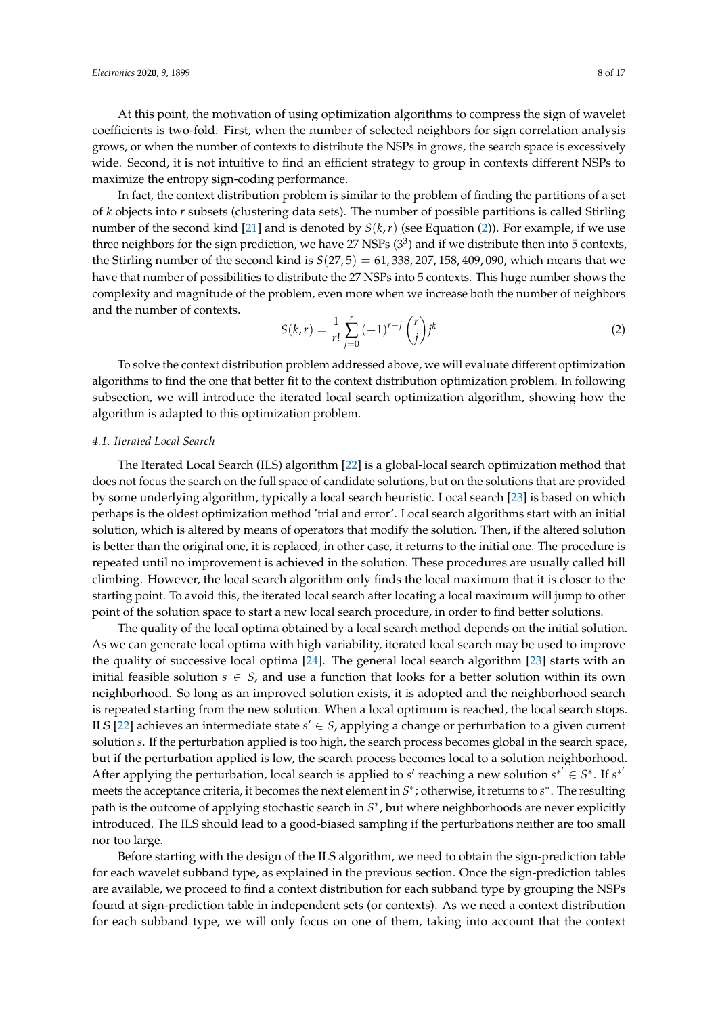At this point, the motivation of using optimization algorithms to compress the sign of wavelet coefficients is two-fold. First, when the number of selected neighbors for sign correlation analysis grows, or when the number of contexts to distribute the NSPs in grows, the search space is excessively wide. Second, it is not intuitive to find an efficient strategy to group in contexts different NSPs to maximize the entropy sign-coding performance.

In fact, the context distribution problem is similar to the problem of finding the partitions of a set of *k* objects into *r* subsets (clustering data sets). The number of possible partitions is called Stirling number of the second kind [\[21\]](#page-16-8) and is denoted by *S*(*k*,*r*) (see Equation [\(2\)](#page-7-0)). For example, if we use three neighbors for the sign prediction, we have 27 NSPs  $(3^3)$  and if we distribute then into 5 contexts, the Stirling number of the second kind is  $S(27,5) = 61,338,207,158,409,090$ , which means that we have that number of possibilities to distribute the 27 NSPs into 5 contexts. This huge number shows the complexity and magnitude of the problem, even more when we increase both the number of neighbors and the number of contexts.

<span id="page-7-0"></span>
$$
S(k,r) = \frac{1}{r!} \sum_{j=0}^{r} (-1)^{r-j} {r \choose j} j^{k}
$$
 (2)

To solve the context distribution problem addressed above, we will evaluate different optimization algorithms to find the one that better fit to the context distribution optimization problem. In following subsection, we will introduce the iterated local search optimization algorithm, showing how the algorithm is adapted to this optimization problem.

## *4.1. Iterated Local Search*

The Iterated Local Search (ILS) algorithm [\[22\]](#page-16-9) is a global-local search optimization method that does not focus the search on the full space of candidate solutions, but on the solutions that are provided by some underlying algorithm, typically a local search heuristic. Local search [\[23\]](#page-16-10) is based on which perhaps is the oldest optimization method 'trial and error'. Local search algorithms start with an initial solution, which is altered by means of operators that modify the solution. Then, if the altered solution is better than the original one, it is replaced, in other case, it returns to the initial one. The procedure is repeated until no improvement is achieved in the solution. These procedures are usually called hill climbing. However, the local search algorithm only finds the local maximum that it is closer to the starting point. To avoid this, the iterated local search after locating a local maximum will jump to other point of the solution space to start a new local search procedure, in order to find better solutions.

The quality of the local optima obtained by a local search method depends on the initial solution. As we can generate local optima with high variability, iterated local search may be used to improve the quality of successive local optima [\[24\]](#page-16-11). The general local search algorithm [\[23\]](#page-16-10) starts with an initial feasible solution  $s \in S$ , and use a function that looks for a better solution within its own neighborhood. So long as an improved solution exists, it is adopted and the neighborhood search is repeated starting from the new solution. When a local optimum is reached, the local search stops. ILS [\[22\]](#page-16-9) achieves an intermediate state  $s' \in S$ , applying a change or perturbation to a given current solution *s*. If the perturbation applied is too high, the search process becomes global in the search space, but if the perturbation applied is low, the search process becomes local to a solution neighborhood. After applying the perturbation, local search is applied to *s'* reaching a new solution  $s^{*'} \in S^*$ . If  $s^{*'}$ meets the acceptance criteria, it becomes the next element in  $S^*$ ; otherwise, it returns to  $s^*$ . The resulting path is the outcome of applying stochastic search in  $S^*$ , but where neighborhoods are never explicitly introduced. The ILS should lead to a good-biased sampling if the perturbations neither are too small nor too large.

Before starting with the design of the ILS algorithm, we need to obtain the sign-prediction table for each wavelet subband type, as explained in the previous section. Once the sign-prediction tables are available, we proceed to find a context distribution for each subband type by grouping the NSPs found at sign-prediction table in independent sets (or contexts). As we need a context distribution for each subband type, we will only focus on one of them, taking into account that the context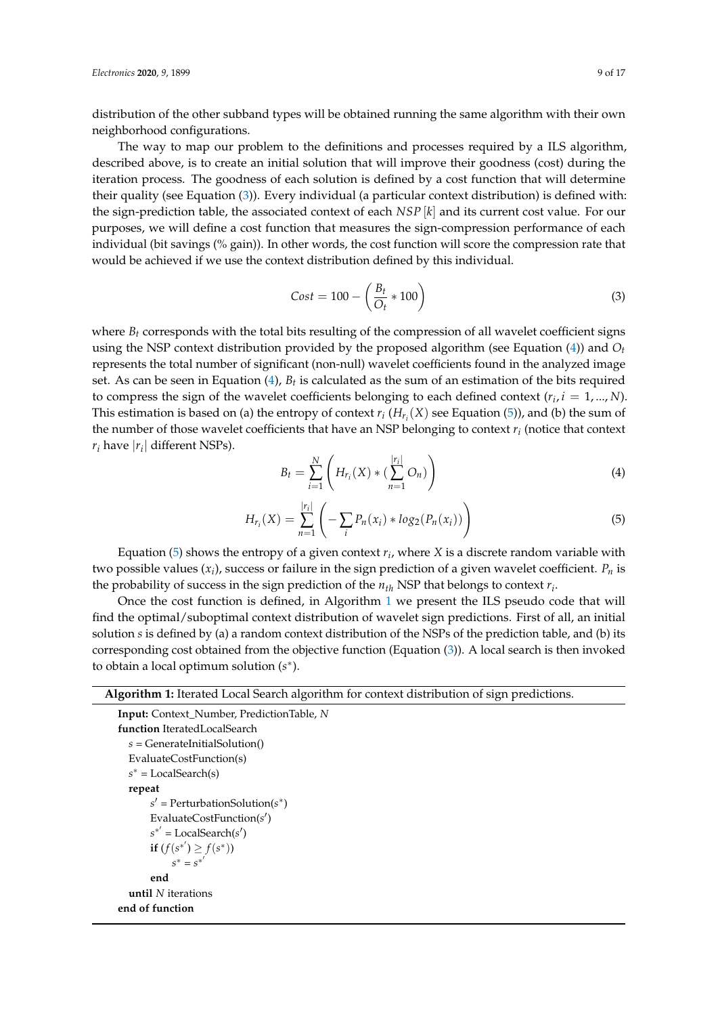distribution of the other subband types will be obtained running the same algorithm with their own neighborhood configurations.

The way to map our problem to the definitions and processes required by a ILS algorithm, described above, is to create an initial solution that will improve their goodness (cost) during the iteration process. The goodness of each solution is defined by a cost function that will determine their quality (see Equation [\(3\)](#page-8-0)). Every individual (a particular context distribution) is defined with: the sign-prediction table, the associated context of each *NSP* [*k*] and its current cost value. For our purposes, we will define a cost function that measures the sign-compression performance of each individual (bit savings (% gain)). In other words, the cost function will score the compression rate that would be achieved if we use the context distribution defined by this individual.

<span id="page-8-0"></span>
$$
Cost = 100 - \left(\frac{B_t}{O_t} * 100\right) \tag{3}
$$

where  $B_t$  corresponds with the total bits resulting of the compression of all wavelet coefficient signs using the NSP context distribution provided by the proposed algorithm (see Equation [\(4\)](#page-8-1)) and *O<sup>t</sup>* represents the total number of significant (non-null) wavelet coefficients found in the analyzed image set. As can be seen in Equation [\(4\)](#page-8-1),  $B_t$  is calculated as the sum of an estimation of the bits required to compress the sign of the wavelet coefficients belonging to each defined context ( $r_i$ ,  $i = 1, ..., N$ ). This estimation is based on (a) the entropy of context  $r_i$  ( $H_{r_i}(X)$  see Equation [\(5\)](#page-8-2)), and (b) the sum of the number of those wavelet coefficients that have an NSP belonging to context *r<sup>i</sup>* (notice that context  $r_i$  have  $|r_i|$  different NSPs).

<span id="page-8-1"></span>
$$
B_t = \sum_{i=1}^{N} \left( H_{r_i}(X) * \left( \sum_{n=1}^{|r_i|} O_n \right) \right)
$$
 (4)

<span id="page-8-2"></span>
$$
H_{r_i}(X) = \sum_{n=1}^{|r_i|} \left( -\sum_i P_n(x_i) * log_2(P_n(x_i)) \right)
$$
(5)

Equation [\(5\)](#page-8-2) shows the entropy of a given context *r<sup>i</sup>* , where *X* is a discrete random variable with two possible values  $(x_i)$ , success or failure in the sign prediction of a given wavelet coefficient.  $P_n$  is the probability of success in the sign prediction of the  $n_{th}$  NSP that belongs to context  $r_i$ .

Once the cost function is defined, in Algorithm [1](#page-8-3) we present the ILS pseudo code that will find the optimal/suboptimal context distribution of wavelet sign predictions. First of all, an initial solution *s* is defined by (a) a random context distribution of the NSPs of the prediction table, and (b) its corresponding cost obtained from the objective function (Equation [\(3\)](#page-8-0)). A local search is then invoked to obtain a local optimum solution (*s* ∗ ).

|  |  | Algorithm 1: Iterated Local Search algorithm for context distribution of sign predictions. |  |
|--|--|--------------------------------------------------------------------------------------------|--|
|  |  |                                                                                            |  |

<span id="page-8-3"></span>**Input:** Context\_Number, PredictionTable, *N* **function** IteratedLocalSearch *s* = GenerateInitialSolution() EvaluateCostFunction(s) *s* <sup>∗</sup> = LocalSearch(s) **repeat** *s*<sup> $'$ </sup> = PerturbationSolution(*s*<sup>∗</sup>) EvaluateCostFunction(s')  $s^{*'}$  = LocalSearch(*s'*) **if**  $(f(s^{*'}) \geq f(s^*))$  $s^* = s^*$  $\overline{a}$ **end until** *N* iterations **end of function**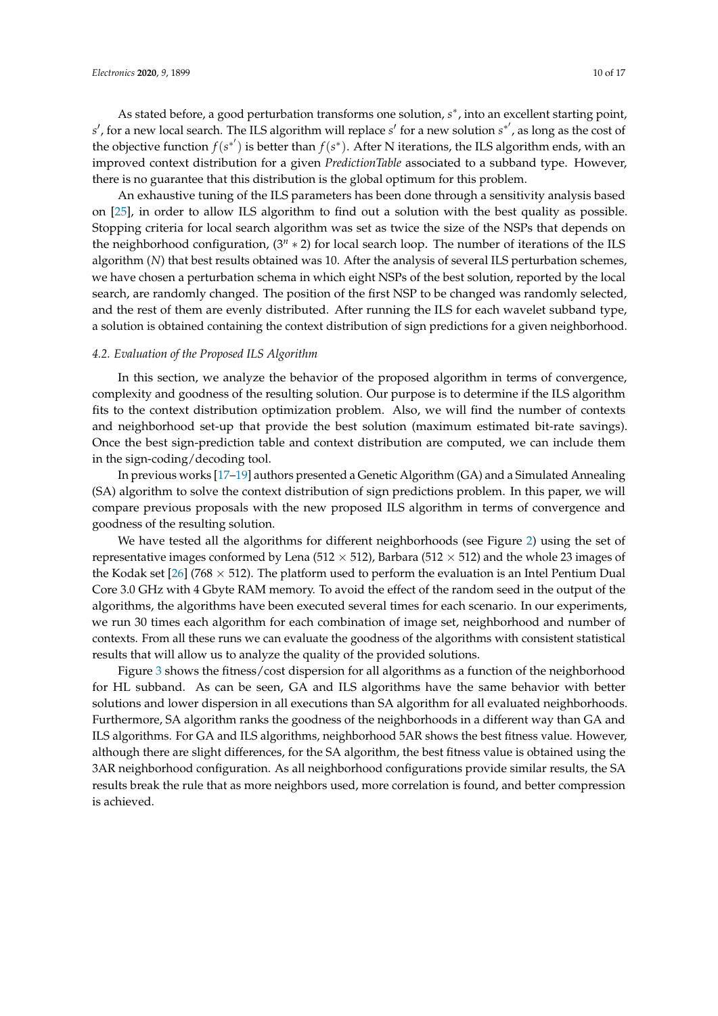As stated before, a good perturbation transforms one solution,  $s^*$ , into an excellent starting point, *s*', for a new local search. The ILS algorithm will replace *s*' for a new solution *s*<sup>\*'</sup>, as long as the cost of the objective function  $f(s^*)$  is better than  $f(s^*)$ . After N iterations, the ILS algorithm ends, with an improved context distribution for a given *PredictionTable* associated to a subband type. However, there is no guarantee that this distribution is the global optimum for this problem.

An exhaustive tuning of the ILS parameters has been done through a sensitivity analysis based on [\[25\]](#page-16-12), in order to allow ILS algorithm to find out a solution with the best quality as possible. Stopping criteria for local search algorithm was set as twice the size of the NSPs that depends on the neighborhood configuration, (3<sup>n</sup> ∗2) for local search loop. The number of iterations of the ILS algorithm (*N*) that best results obtained was 10. After the analysis of several ILS perturbation schemes, we have chosen a perturbation schema in which eight NSPs of the best solution, reported by the local search, are randomly changed. The position of the first NSP to be changed was randomly selected, and the rest of them are evenly distributed. After running the ILS for each wavelet subband type, a solution is obtained containing the context distribution of sign predictions for a given neighborhood.

## *4.2. Evaluation of the Proposed ILS Algorithm*

In this section, we analyze the behavior of the proposed algorithm in terms of convergence, complexity and goodness of the resulting solution. Our purpose is to determine if the ILS algorithm fits to the context distribution optimization problem. Also, we will find the number of contexts and neighborhood set-up that provide the best solution (maximum estimated bit-rate savings). Once the best sign-prediction table and context distribution are computed, we can include them in the sign-coding/decoding tool.

In previous works [\[17](#page-16-4)[–19\]](#page-16-6) authors presented a Genetic Algorithm (GA) and a Simulated Annealing (SA) algorithm to solve the context distribution of sign predictions problem. In this paper, we will compare previous proposals with the new proposed ILS algorithm in terms of convergence and goodness of the resulting solution.

We have tested all the algorithms for different neighborhoods (see Figure [2\)](#page-4-0) using the set of representative images conformed by Lena (512  $\times$  512), Barbara (512  $\times$  512) and the whole 23 images of the Kodak set  $[26]$  (768  $\times$  512). The platform used to perform the evaluation is an Intel Pentium Dual Core 3.0 GHz with 4 Gbyte RAM memory. To avoid the effect of the random seed in the output of the algorithms, the algorithms have been executed several times for each scenario. In our experiments, we run 30 times each algorithm for each combination of image set, neighborhood and number of contexts. From all these runs we can evaluate the goodness of the algorithms with consistent statistical results that will allow us to analyze the quality of the provided solutions.

Figure [3](#page-10-0) shows the fitness/cost dispersion for all algorithms as a function of the neighborhood for HL subband. As can be seen, GA and ILS algorithms have the same behavior with better solutions and lower dispersion in all executions than SA algorithm for all evaluated neighborhoods. Furthermore, SA algorithm ranks the goodness of the neighborhoods in a different way than GA and ILS algorithms. For GA and ILS algorithms, neighborhood 5AR shows the best fitness value. However, although there are slight differences, for the SA algorithm, the best fitness value is obtained using the 3AR neighborhood configuration. As all neighborhood configurations provide similar results, the SA results break the rule that as more neighbors used, more correlation is found, and better compression is achieved.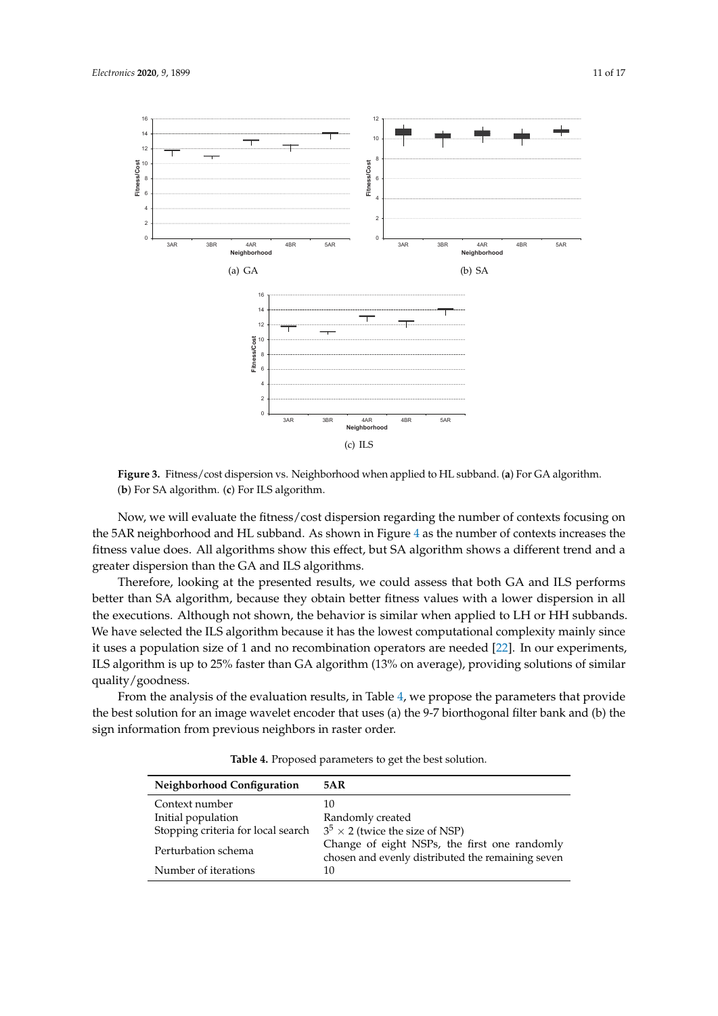

<span id="page-10-0"></span>

**Figure 3.** Fitness/cost dispersion vs. Neighborhood when applied to HL subband. (**a**) For GA algorithm. (**b**) For SA algorithm. (**c**) For ILS algorithm.

Now, we will evaluate the fitness/cost dispersion regarding the number of contexts focusing on the 5AR neighborhood and HL subband. As shown in Figure [4](#page-11-0) as the number of contexts increases the fitness value does. All algorithms show this effect, but SA algorithm shows a different trend and a greater dispersion than the GA and ILS algorithms.

Therefore, looking at the presented results, we could assess that both GA and ILS performs better than SA algorithm, because they obtain better fitness values with a lower dispersion in all the executions. Although not shown, the behavior is similar when applied to LH or HH subbands. We have selected the ILS algorithm because it has the lowest computational complexity mainly since it uses a population size of 1 and no recombination operators are needed [\[22\]](#page-16-9). In our experiments, ILS algorithm is up to 25% faster than GA algorithm (13% on average), providing solutions of similar quality/goodness.

<span id="page-10-1"></span>From the analysis of the evaluation results, in Table [4,](#page-10-1) we propose the parameters that provide the best solution for an image wavelet encoder that uses (a) the 9-7 biorthogonal filter bank and (b) the sign information from previous neighbors in raster order.

**Table 4.** Proposed parameters to get the best solution.

| Neighborhood Configuration         | 5AR                                                                                               |  |  |
|------------------------------------|---------------------------------------------------------------------------------------------------|--|--|
| Context number                     | 10                                                                                                |  |  |
| Initial population                 | Randomly created                                                                                  |  |  |
| Stopping criteria for local search | $3^5 \times 2$ (twice the size of NSP)                                                            |  |  |
| Perturbation schema                | Change of eight NSPs, the first one randomly<br>chosen and evenly distributed the remaining seven |  |  |
| Number of iterations               | 10                                                                                                |  |  |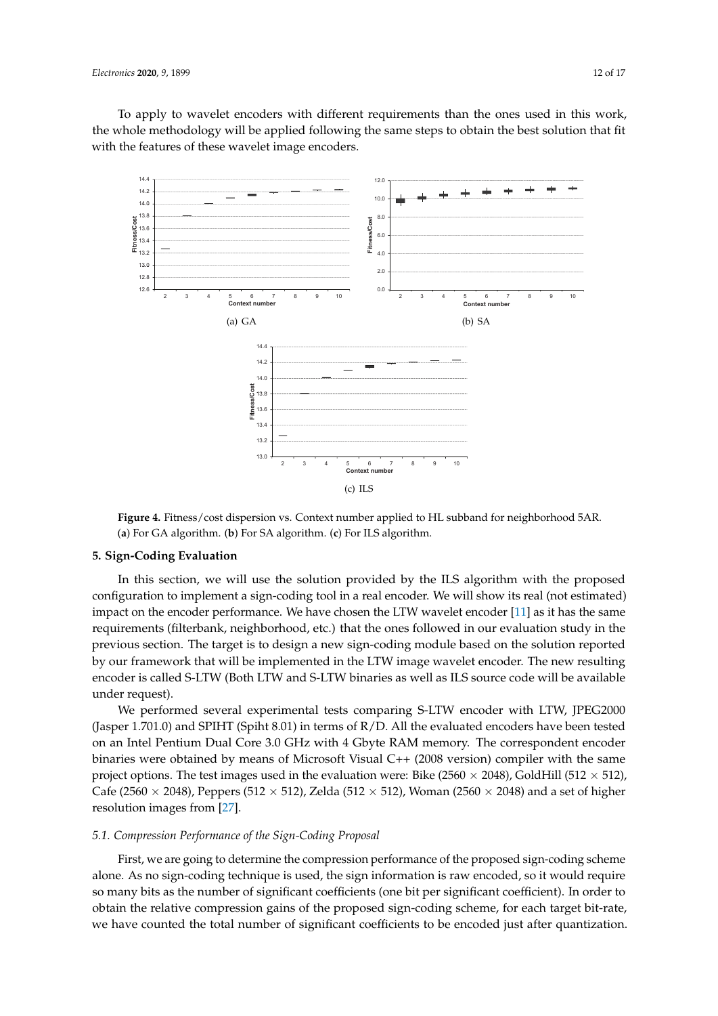To apply to wavelet encoders with different requirements than the ones used in this work, the whole methodology will be applied following the same steps to obtain the best solution that fit with the features of these wavelet image encoders.

<span id="page-11-0"></span>

**Figure 4.** Fitness/cost dispersion vs. Context number applied to HL subband for neighborhood 5AR. (**a**) For GA algorithm. (**b**) For SA algorithm. (**c**) For ILS algorithm.

#### **5. Sign-Coding Evaluation**

In this section, we will use the solution provided by the ILS algorithm with the proposed configuration to implement a sign-coding tool in a real encoder. We will show its real (not estimated) impact on the encoder performance. We have chosen the LTW wavelet encoder [\[11\]](#page-15-9) as it has the same requirements (filterbank, neighborhood, etc.) that the ones followed in our evaluation study in the previous section. The target is to design a new sign-coding module based on the solution reported by our framework that will be implemented in the LTW image wavelet encoder. The new resulting encoder is called S-LTW (Both LTW and S-LTW binaries as well as ILS source code will be available under request).

We performed several experimental tests comparing S-LTW encoder with LTW, JPEG2000 (Jasper 1.701.0) and SPIHT (Spiht 8.01) in terms of R/D. All the evaluated encoders have been tested on an Intel Pentium Dual Core 3.0 GHz with 4 Gbyte RAM memory. The correspondent encoder binaries were obtained by means of Microsoft Visual C++ (2008 version) compiler with the same project options. The test images used in the evaluation were: Bike (2560  $\times$  2048), GoldHill (512  $\times$  512), Cafe (2560  $\times$  2048), Peppers (512  $\times$  512), Zelda (512  $\times$  512), Woman (2560  $\times$  2048) and a set of higher resolution images from [\[27\]](#page-16-14).

#### *5.1. Compression Performance of the Sign-Coding Proposal*

First, we are going to determine the compression performance of the proposed sign-coding scheme alone. As no sign-coding technique is used, the sign information is raw encoded, so it would require so many bits as the number of significant coefficients (one bit per significant coefficient). In order to obtain the relative compression gains of the proposed sign-coding scheme, for each target bit-rate, we have counted the total number of significant coefficients to be encoded just after quantization.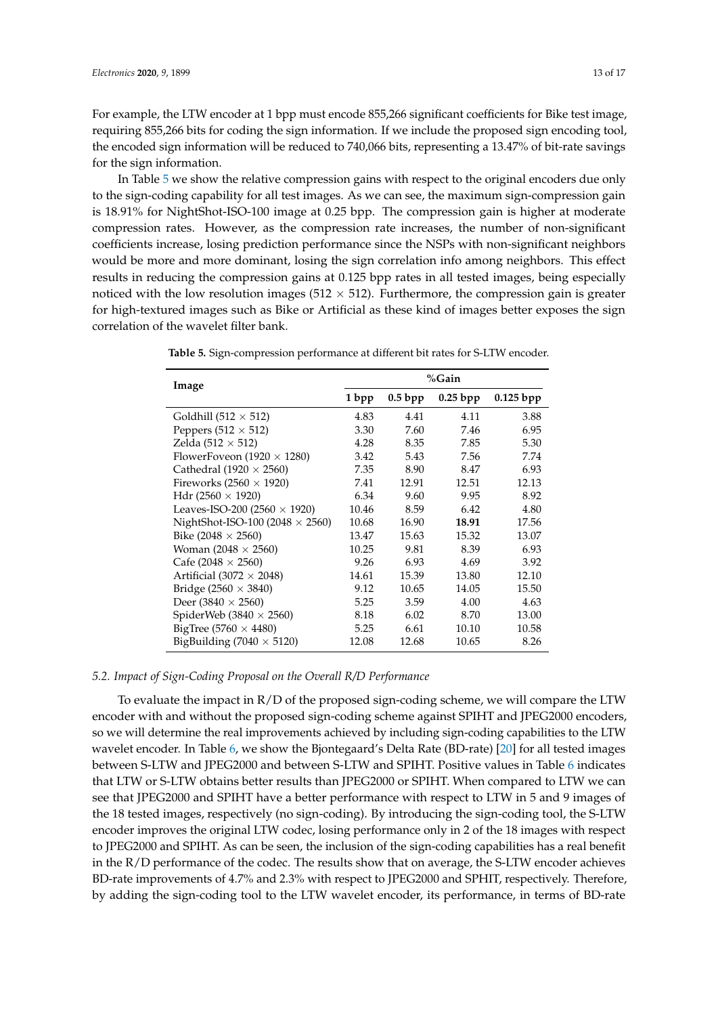For example, the LTW encoder at 1 bpp must encode 855,266 significant coefficients for Bike test image, requiring 855,266 bits for coding the sign information. If we include the proposed sign encoding tool, the encoded sign information will be reduced to 740,066 bits, representing a 13.47% of bit-rate savings for the sign information.

In Table [5](#page-12-0) we show the relative compression gains with respect to the original encoders due only to the sign-coding capability for all test images. As we can see, the maximum sign-compression gain is 18.91% for NightShot-ISO-100 image at 0.25 bpp. The compression gain is higher at moderate compression rates. However, as the compression rate increases, the number of non-significant coefficients increase, losing prediction performance since the NSPs with non-significant neighbors would be more and more dominant, losing the sign correlation info among neighbors. This effect results in reducing the compression gains at 0.125 bpp rates in all tested images, being especially noticed with the low resolution images ( $512 \times 512$ ). Furthermore, the compression gain is greater for high-textured images such as Bike or Artificial as these kind of images better exposes the sign correlation of the wavelet filter bank.

| Image                                  | %Gain |           |            |             |  |
|----------------------------------------|-------|-----------|------------|-------------|--|
|                                        | 1 bpp | $0.5$ bpp | $0.25$ bpp | $0.125$ bpp |  |
| Goldhill (512 $\times$ 512)            | 4.83  | 4.41      | 4.11       | 3.88        |  |
| Peppers $(512 \times 512)$             | 3.30  | 7.60      | 7.46       | 6.95        |  |
| Zelda (512 $\times$ 512)               | 4.28  | 8.35      | 7.85       | 5.30        |  |
| FlowerFoveon (1920 $\times$ 1280)      | 3.42  | 5.43      | 7.56       | 7.74        |  |
| Cathedral (1920 $\times$ 2560)         | 7.35  | 8.90      | 8.47       | 6.93        |  |
| Fireworks (2560 $\times$ 1920)         | 7.41  | 12.91     | 12.51      | 12.13       |  |
| Hdr (2560 $\times$ 1920)               | 6.34  | 9.60      | 9.95       | 8.92        |  |
| Leaves-ISO-200 (2560 $\times$ 1920)    | 10.46 | 8.59      | 6.42       | 4.80        |  |
| NightShot-ISO-100 (2048 $\times$ 2560) | 10.68 | 16.90     | 18.91      | 17.56       |  |
| Bike (2048 $\times$ 2560)              | 13.47 | 15.63     | 15.32      | 13.07       |  |
| Woman $(2048 \times 2560)$             | 10.25 | 9.81      | 8.39       | 6.93        |  |
| Cafe (2048 $\times$ 2560)              | 9.26  | 6.93      | 4.69       | 3.92        |  |
| Artificial (3072 $\times$ 2048)        | 14.61 | 15.39     | 13.80      | 12.10       |  |
| Bridge ( $2560 \times 3840$ )          | 9.12  | 10.65     | 14.05      | 15.50       |  |
| Deer $(3840 \times 2560)$              | 5.25  | 3.59      | 4.00       | 4.63        |  |
| SpiderWeb $(3840 \times 2560)$         | 8.18  | 6.02      | 8.70       | 13.00       |  |
| BigTree (5760 $\times$ 4480)           | 5.25  | 6.61      | 10.10      | 10.58       |  |
| BigBuilding (7040 $\times$ 5120)       | 12.08 | 12.68     | 10.65      | 8.26        |  |

<span id="page-12-0"></span>**Table 5.** Sign-compression performance at different bit rates for S-LTW encoder.

## *5.2. Impact of Sign-Coding Proposal on the Overall R/D Performance*

To evaluate the impact in R/D of the proposed sign-coding scheme, we will compare the LTW encoder with and without the proposed sign-coding scheme against SPIHT and JPEG2000 encoders, so we will determine the real improvements achieved by including sign-coding capabilities to the LTW wavelet encoder. In Table [6,](#page-13-0) we show the Bjontegaard's Delta Rate (BD-rate) [\[20\]](#page-16-7) for all tested images between S-LTW and JPEG2000 and between S-LTW and SPIHT. Positive values in Table [6](#page-13-0) indicates that LTW or S-LTW obtains better results than JPEG2000 or SPIHT. When compared to LTW we can see that JPEG2000 and SPIHT have a better performance with respect to LTW in 5 and 9 images of the 18 tested images, respectively (no sign-coding). By introducing the sign-coding tool, the S-LTW encoder improves the original LTW codec, losing performance only in 2 of the 18 images with respect to JPEG2000 and SPIHT. As can be seen, the inclusion of the sign-coding capabilities has a real benefit in the R/D performance of the codec. The results show that on average, the S-LTW encoder achieves BD-rate improvements of 4.7% and 2.3% with respect to JPEG2000 and SPHIT, respectively. Therefore, by adding the sign-coding tool to the LTW wavelet encoder, its performance, in terms of BD-rate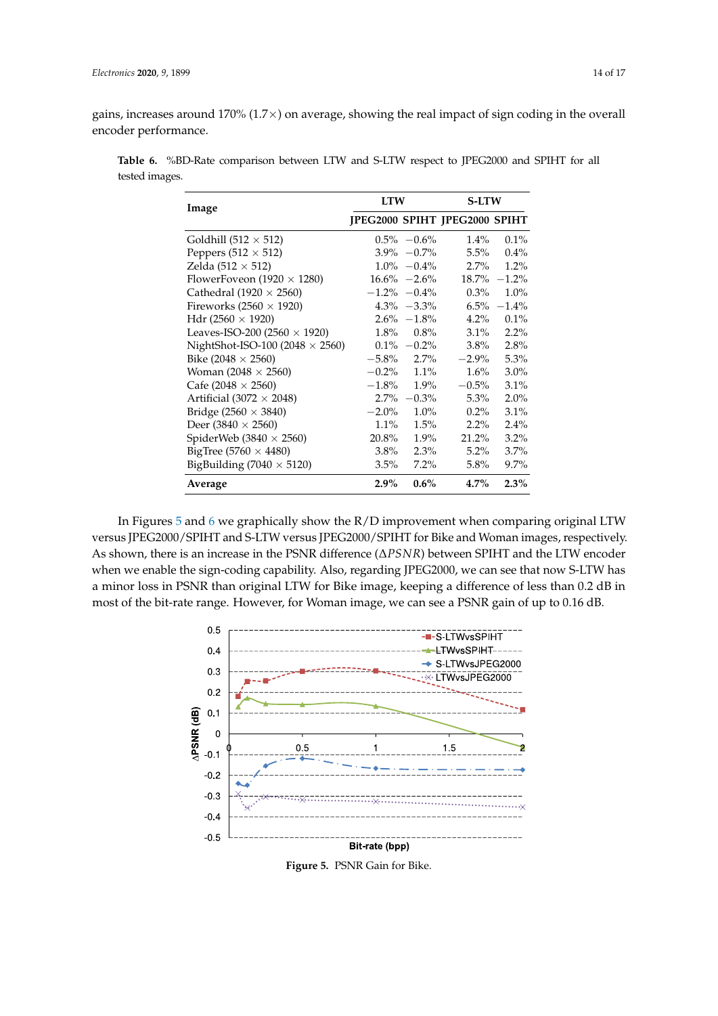gains, increases around 170% (1.7×) on average, showing the real impact of sign coding in the overall encoder performance.

<span id="page-13-0"></span>**Table 6.** %BD-Rate comparison between LTW and S-LTW respect to JPEG2000 and SPIHT for all tested images.

| Image                                  | <b>ITW</b> |                  | <b>S-LTW</b>                  |                 |
|----------------------------------------|------------|------------------|-------------------------------|-----------------|
|                                        |            |                  | JPEG2000 SPIHT JPEG2000 SPIHT |                 |
| Goldhill $(512 \times 512)$            |            | $0.5\% - 0.6\%$  | $1.4\%$                       | 0.1%            |
| Peppers $(512 \times 512)$             |            | $3.9\% -0.7\%$   | $5.5\%$                       | $0.4\%$         |
| Zelda (512 $\times$ 512)               |            | $1.0\% - 0.4\%$  | $2.7\%$                       | $1.2\%$         |
| FlowerFoveon (1920 $\times$ 1280)      |            | $16.6\% - 2.6\%$ |                               | $18.7\% -1.2\%$ |
| Cathedral (1920 $\times$ 2560)         |            | $-1.2\% -0.4\%$  | $0.3\%$                       | $1.0\%$         |
| Fireworks (2560 $\times$ 1920)         |            | $4.3\% -3.3\%$   |                               | $6.5\% -1.4\%$  |
| Hdr (2560 $\times$ 1920)               |            | $2.6\% - 1.8\%$  | $4.2\%$                       | 0.1%            |
| Leaves-ISO-200 (2560 $\times$ 1920)    | $1.8\%$    | 0.8%             | $3.1\%$                       | 2.2%            |
| NightShot-ISO-100 (2048 $\times$ 2560) |            | $0.1\% - 0.2\%$  | $3.8\%$                       | 2.8%            |
| Bike (2048 $\times$ 2560)              | $-5.8\%$   | 2.7%             | $-2.9\%$                      | 5.3%            |
| Woman $(2048 \times 2560)$             | $-0.2\%$   | $1.1\%$          | $1.6\%$                       | $3.0\%$         |
| Cafe (2048 $\times$ 2560)              |            | $-1.8\%$ 1.9%    | $-0.5\%$                      | 3.1%            |
| Artificial (3072 $\times$ 2048)        |            | $2.7\% -0.3\%$   | $5.3\%$                       | $2.0\%$         |
| Bridge (2560 $\times$ 3840)            | $-2.0\%$   | $1.0\%$          | $0.2\%$                       | $3.1\%$         |
| Deer $(3840 \times 2560)$              | $1.1\%$    | $1.5\%$          | $2.2\%$                       | 2.4%            |
| SpiderWeb $(3840 \times 2560)$         | 20.8%      | $1.9\%$          | 21.2%                         | $3.2\%$         |
| BigTree (5760 $\times$ 4480)           | $3.8\%$    | $2.3\%$          | $5.2\%$                       | 3.7%            |
| BigBuilding (7040 $\times$ 5120)       | $3.5\%$    | $7.2\%$          | 5.8%                          | $9.7\%$         |
| Average                                | $2.9\%$    | $0.6\%$          | $4.7\%$                       | $2.3\%$         |

In Figures [5](#page-13-1) and [6](#page-14-0) we graphically show the  $R/D$  improvement when comparing original LTW versus JPEG2000/SPIHT and S-LTW versus JPEG2000/SPIHT for Bike and Woman images, respectively. As shown, there is an increase in the PSNR difference (∆*PSNR*) between SPIHT and the LTW encoder when we enable the sign-coding capability. Also, regarding JPEG2000, we can see that now S-LTW has a minor loss in PSNR than original LTW for Bike image, keeping a difference of less than 0.2 dB in most of the bit-rate range. However, for Woman image, we can see a PSNR gain of up to 0.16 dB.

<span id="page-13-1"></span>

**Figure 5.** PSNR Gain for Bike.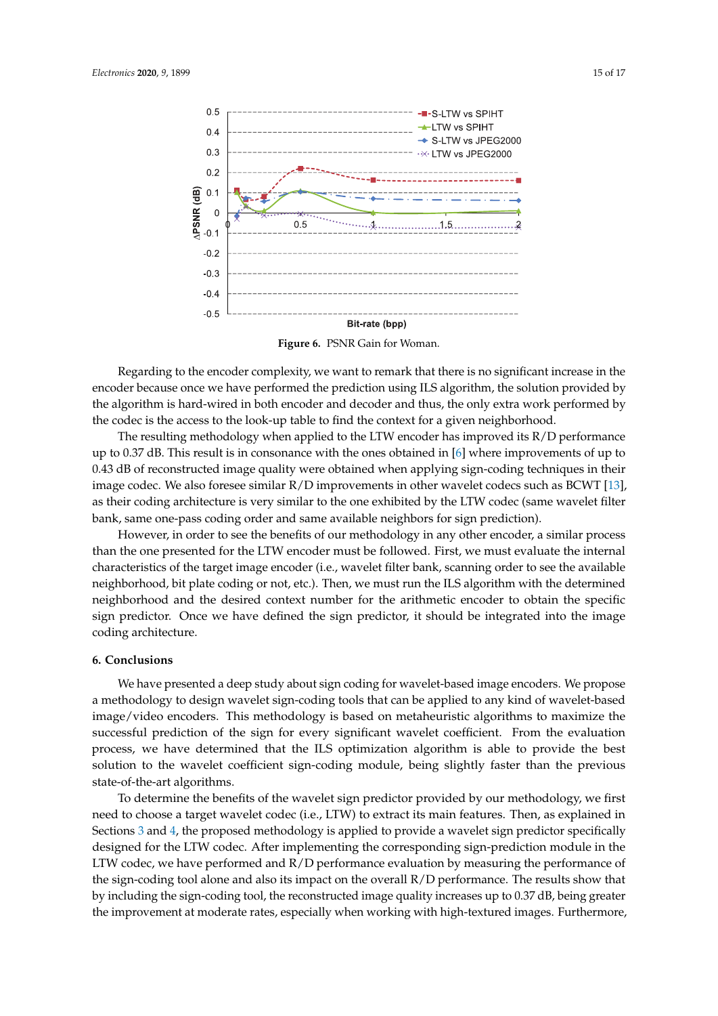<span id="page-14-0"></span>

**Figure 6.** PSNR Gain for Woman.

Regarding to the encoder complexity, we want to remark that there is no significant increase in the encoder because once we have performed the prediction using ILS algorithm, the solution provided by the algorithm is hard-wired in both encoder and decoder and thus, the only extra work performed by the codec is the access to the look-up table to find the context for a given neighborhood.

The resulting methodology when applied to the LTW encoder has improved its R/D performance up to 0.37 dB. This result is in consonance with the ones obtained in [\[6\]](#page-15-6) where improvements of up to 0.43 dB of reconstructed image quality were obtained when applying sign-coding techniques in their image codec. We also foresee similar  $R/D$  improvements in other wavelet codecs such as BCWT [\[13\]](#page-16-0), as their coding architecture is very similar to the one exhibited by the LTW codec (same wavelet filter bank, same one-pass coding order and same available neighbors for sign prediction).

However, in order to see the benefits of our methodology in any other encoder, a similar process than the one presented for the LTW encoder must be followed. First, we must evaluate the internal characteristics of the target image encoder (i.e., wavelet filter bank, scanning order to see the available neighborhood, bit plate coding or not, etc.). Then, we must run the ILS algorithm with the determined neighborhood and the desired context number for the arithmetic encoder to obtain the specific sign predictor. Once we have defined the sign predictor, it should be integrated into the image coding architecture.

#### **6. Conclusions**

We have presented a deep study about sign coding for wavelet-based image encoders. We propose a methodology to design wavelet sign-coding tools that can be applied to any kind of wavelet-based image/video encoders. This methodology is based on metaheuristic algorithms to maximize the successful prediction of the sign for every significant wavelet coefficient. From the evaluation process, we have determined that the ILS optimization algorithm is able to provide the best solution to the wavelet coefficient sign-coding module, being slightly faster than the previous state-of-the-art algorithms.

To determine the benefits of the wavelet sign predictor provided by our methodology, we first need to choose a target wavelet codec (i.e., LTW) to extract its main features. Then, as explained in Sections [3](#page-3-0) and [4,](#page-6-1) the proposed methodology is applied to provide a wavelet sign predictor specifically designed for the LTW codec. After implementing the corresponding sign-prediction module in the LTW codec, we have performed and R/D performance evaluation by measuring the performance of the sign-coding tool alone and also its impact on the overall R/D performance. The results show that by including the sign-coding tool, the reconstructed image quality increases up to 0.37 dB, being greater the improvement at moderate rates, especially when working with high-textured images. Furthermore,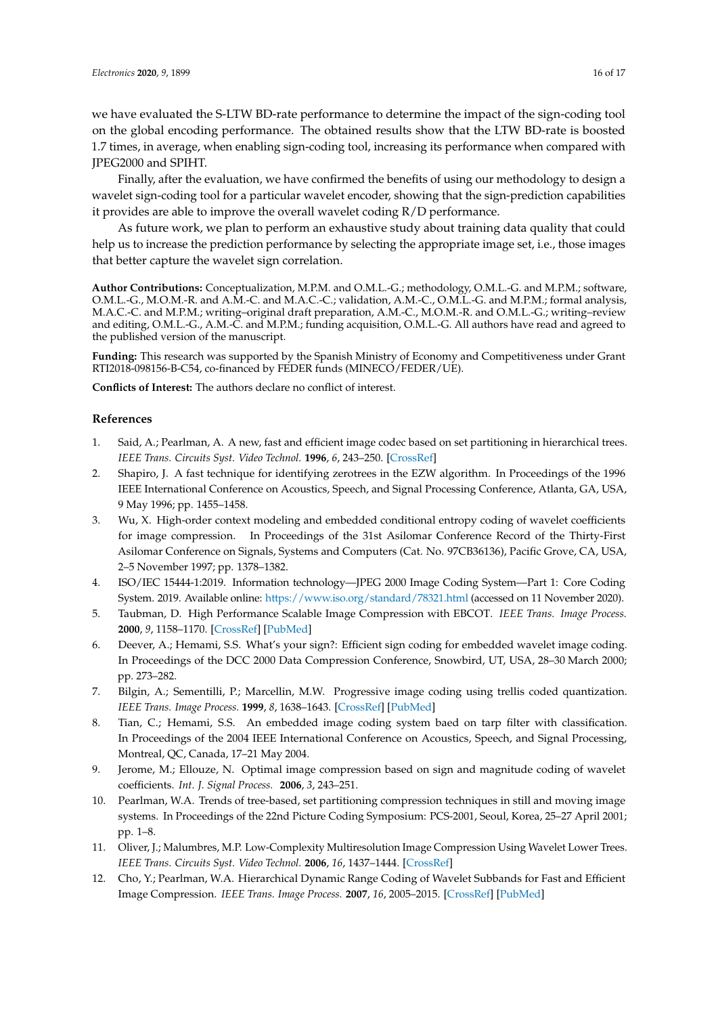Finally, after the evaluation, we have confirmed the benefits of using our methodology to design a wavelet sign-coding tool for a particular wavelet encoder, showing that the sign-prediction capabilities it provides are able to improve the overall wavelet coding  $R/D$  performance.

As future work, we plan to perform an exhaustive study about training data quality that could help us to increase the prediction performance by selecting the appropriate image set, i.e., those images that better capture the wavelet sign correlation.

**Author Contributions:** Conceptualization, M.P.M. and O.M.L.-G.; methodology, O.M.L.-G. and M.P.M.; software, O.M.L.-G., M.O.M.-R. and A.M.-C. and M.A.C.-C.; validation, A.M.-C., O.M.L.-G. and M.P.M.; formal analysis, M.A.C.-C. and M.P.M.; writing–original draft preparation, A.M.-C., M.O.M.-R. and O.M.L.-G.; writing–review and editing, O.M.L.-G., A.M.-C. and M.P.M.; funding acquisition, O.M.L.-G. All authors have read and agreed to the published version of the manuscript.

**Funding:** This research was supported by the Spanish Ministry of Economy and Competitiveness under Grant RTI2018-098156-B-C54, co-financed by FEDER funds (MINECO/FEDER/UE).

**Conflicts of Interest:** The authors declare no conflict of interest.

#### **References**

- <span id="page-15-0"></span>1. Said, A.; Pearlman, A. A new, fast and efficient image codec based on set partitioning in hierarchical trees. *IEEE Trans. Circuits Syst. Video Technol.* **1996**, *6*, 243–250. [\[CrossRef\]](http://dx.doi.org/10.1109/76.499834)
- <span id="page-15-3"></span>2. Shapiro, J. A fast technique for identifying zerotrees in the EZW algorithm. In Proceedings of the 1996 IEEE International Conference on Acoustics, Speech, and Signal Processing Conference, Atlanta, GA, USA, 9 May 1996; pp. 1455–1458.
- <span id="page-15-1"></span>3. Wu, X. High-order context modeling and embedded conditional entropy coding of wavelet coefficients for image compression. In Proceedings of the 31st Asilomar Conference Record of the Thirty-First Asilomar Conference on Signals, Systems and Computers (Cat. No. 97CB36136), Pacific Grove, CA, USA, 2–5 November 1997; pp. 1378–1382.
- <span id="page-15-2"></span>4. ISO/IEC 15444-1:2019. Information technology—JPEG 2000 Image Coding System—Part 1: Core Coding System. 2019. Available online: <https://www.iso.org/standard/78321.html> (accessed on 11 November 2020).
- <span id="page-15-4"></span>5. Taubman, D. High Performance Scalable Image Compression with EBCOT. *IEEE Trans. Image Process.* **2000**, *9*, 1158–1170. [\[CrossRef\]](http://dx.doi.org/10.1109/83.847830) [\[PubMed\]](http://www.ncbi.nlm.nih.gov/pubmed/18262955)
- <span id="page-15-6"></span>6. Deever, A.; Hemami, S.S. What's your sign?: Efficient sign coding for embedded wavelet image coding. In Proceedings of the DCC 2000 Data Compression Conference, Snowbird, UT, USA, 28–30 March 2000; pp. 273–282.
- 7. Bilgin, A.; Sementilli, P.; Marcellin, M.W. Progressive image coding using trellis coded quantization. *IEEE Trans. Image Process.* **1999**, *8*, 1638–1643. [\[CrossRef\]](http://dx.doi.org/10.1109/83.799891) [\[PubMed\]](http://www.ncbi.nlm.nih.gov/pubmed/18267438)
- <span id="page-15-8"></span>8. Tian, C.; Hemami, S.S. An embedded image coding system baed on tarp filter with classification. In Proceedings of the 2004 IEEE International Conference on Acoustics, Speech, and Signal Processing, Montreal, QC, Canada, 17–21 May 2004.
- <span id="page-15-5"></span>9. Jerome, M.; Ellouze, N. Optimal image compression based on sign and magnitude coding of wavelet coefficients. *Int. J. Signal Process.* **2006**, *3*, 243–251.
- <span id="page-15-7"></span>10. Pearlman, W.A. Trends of tree-based, set partitioning compression techniques in still and moving image systems. In Proceedings of the 22nd Picture Coding Symposium: PCS-2001, Seoul, Korea, 25–27 April 2001; pp. 1–8.
- <span id="page-15-9"></span>11. Oliver, J.; Malumbres, M.P. Low-Complexity Multiresolution Image Compression Using Wavelet Lower Trees. *IEEE Trans. Circuits Syst. Video Technol.* **2006**, *16*, 1437–1444. [\[CrossRef\]](http://dx.doi.org/10.1109/TCSVT.2006.883505)
- 12. Cho, Y.; Pearlman, W.A. Hierarchical Dynamic Range Coding of Wavelet Subbands for Fast and Efficient Image Compression. *IEEE Trans. Image Process.* **2007**, *16*, 2005–2015. [\[CrossRef\]](http://dx.doi.org/10.1109/TIP.2007.901247) [\[PubMed\]](http://www.ncbi.nlm.nih.gov/pubmed/17688205)